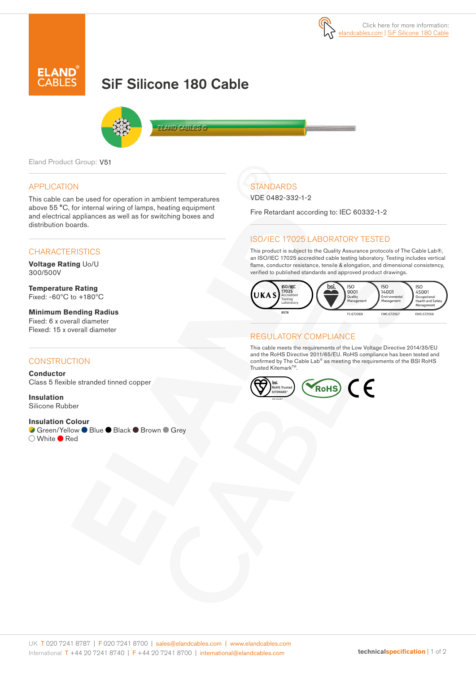

# SiF Silicone 180 Cable



**ELAND CABLES G** 

Eland Product Group: V51

#### APPLICATION

This cable can be used for operation in ambient temperatures above 55 °C, for internal wiring of lamps, heating equipment and electrical appliances as well as for switching boxes and distribution boards.

#### **CHARACTERISTICS**

**Voltage Rating** Uo/U 300/500V

**Temperature Rating** Fixed: -60ºC to +180ºC

**Minimum Bending Radius**  Fixed: 6 x overall diameter Flexed: 15 x overall diameter

#### **CONSTRUCTION**

**Conductor** Class 5 flexible stranded tinned copper

**Insulation** Silicone Rubber

#### **Insulation Colour**

**Green/Yellow ● Blue ● Black ● Brown ● Grey**  $\bigcirc$  White  $\bullet$  Red

# **STANDARDS**

VDE 0482-332-1-2

Fire Retardant according to: IEC 60332-1-2

### ISO/IEC 17025 LABORATORY TESTED

This product is subject to the Quality Assurance protocols of The Cable Lab®, an ISO/IEC 17025 accredited cable testing laboratory. Testing includes vertical flame, conductor resistance, tensile & elongation, and dimensional consistency, verified to published standards and approved product drawings.



#### REGULATORY COMPLIANCE

This cable meets the requirements of the Low Voltage Directive 2014/35/EU and the RoHS Directive 2011/65/EU. RoHS compliance has been tested and confirmed by The Cable Lab® as meeting the requirements of the BSI RoHS Trusted Kitemark™.